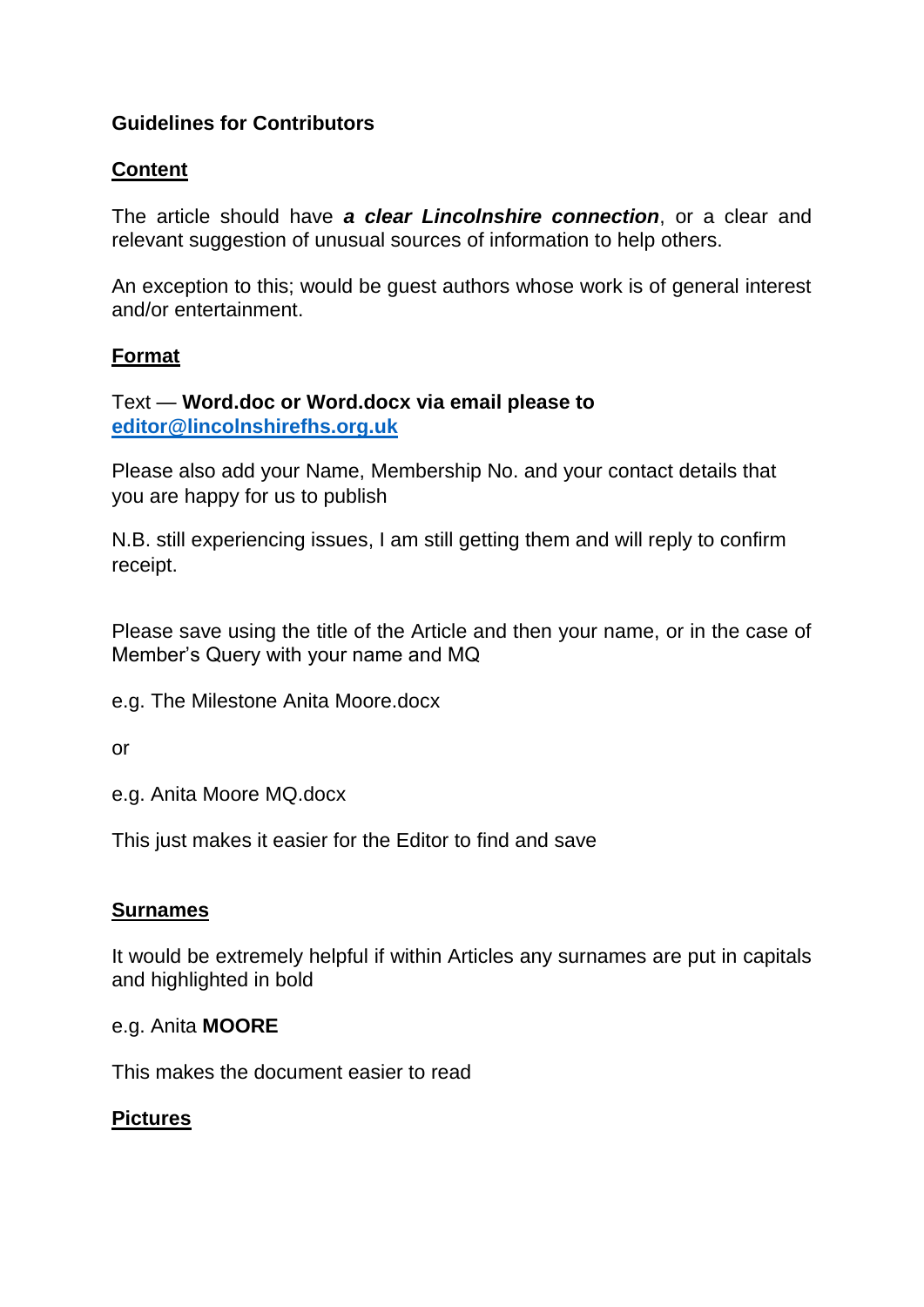## **Guidelines for Contributors**

### **Content**

The article should have *a clear Lincolnshire connection*, or a clear and relevant suggestion of unusual sources of information to help others.

An exception to this; would be guest authors whose work is of general interest and/or entertainment.

### **Format**

### Text — **Word.doc or Word.docx via email please to [editor@lincolnshirefhs.org.uk](mailto:editor@lincolnshirefhs.org.uk)**

Please also add your Name, Membership No. and your contact details that you are happy for us to publish

N.B. still experiencing issues, I am still getting them and will reply to confirm receipt.

Please save using the title of the Article and then your name, or in the case of Member's Query with your name and MQ

e.g. The Milestone Anita Moore.docx

or

e.g. Anita Moore MQ.docx

This just makes it easier for the Editor to find and save

#### **Surnames**

It would be extremely helpful if within Articles any surnames are put in capitals and highlighted in bold

#### e.g. Anita **MOORE**

This makes the document easier to read

#### **Pictures**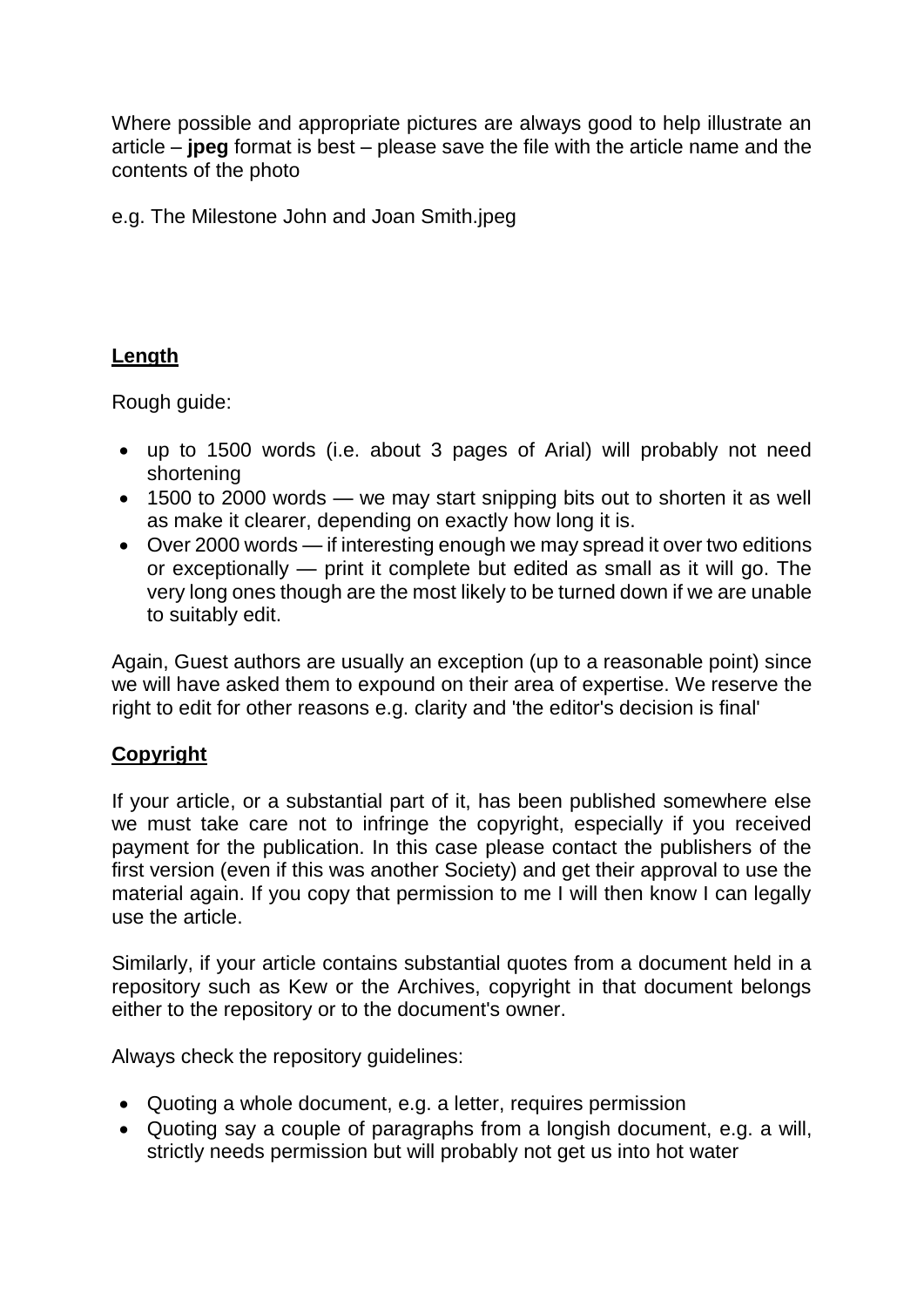Where possible and appropriate pictures are always good to help illustrate an article – **jpeg** format is best – please save the file with the article name and the contents of the photo

e.g. The Milestone John and Joan Smith.jpeg

# **Length**

Rough guide:

- up to 1500 words (i.e. about 3 pages of Arial) will probably not need shortening
- 1500 to 2000 words we may start snipping bits out to shorten it as well as make it clearer, depending on exactly how long it is.
- Over 2000 words if interesting enough we may spread it over two editions or exceptionally — print it complete but edited as small as it will go. The very long ones though are the most likely to be turned down if we are unable to suitably edit.

Again, Guest authors are usually an exception (up to a reasonable point) since we will have asked them to expound on their area of expertise. We reserve the right to edit for other reasons e.g. clarity and 'the editor's decision is final'

# **Copyright**

If your article, or a substantial part of it, has been published somewhere else we must take care not to infringe the copyright, especially if you received payment for the publication. In this case please contact the publishers of the first version (even if this was another Society) and get their approval to use the material again. If you copy that permission to me I will then know I can legally use the article.

Similarly, if your article contains substantial quotes from a document held in a repository such as Kew or the Archives, copyright in that document belongs either to the repository or to the document's owner.

Always check the repository guidelines:

- Quoting a whole document, e.g. a letter, requires permission
- Quoting say a couple of paragraphs from a longish document, e.g. a will, strictly needs permission but will probably not get us into hot water